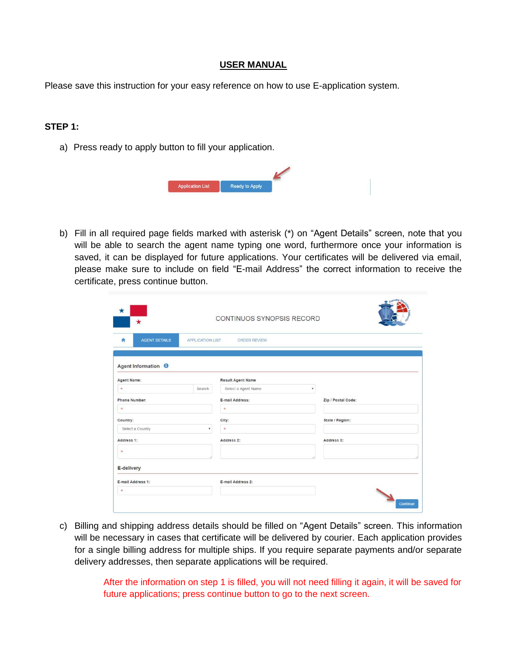#### **USER MANUAL**

Please save this instruction for your easy reference on how to use E-application system.

### **STEP 1:**

a) Press ready to apply button to fill your application.

| <b>Application List</b> | Ready to Apply |  |  |
|-------------------------|----------------|--|--|

b) Fill in all required page fields marked with asterisk (\*) on "Agent Details" screen, note that you will be able to search the agent name typing one word, furthermore once your information is saved, it can be displayed for future applications. Your certificates will be delivered via email, please make sure to include on field "E-mail Address" the correct information to receive the certificate, press continue button.

| $\star$                        |                         | CONTINUOS SYNOPSIS RECORD |   |                    |
|--------------------------------|-------------------------|---------------------------|---|--------------------|
| <b>AGENT DETAILS</b><br>۰      | <b>APPLICATION LIST</b> | <b>ORDER REVIEW</b>       |   |                    |
| Agent Information <sup>6</sup> |                         |                           |   |                    |
| <b>Agent Name:</b>             |                         | <b>Result Agent Name</b>  |   |                    |
| $\star$                        | Search                  | Select a Agent Name       | ۰ |                    |
| <b>Phone Number:</b>           |                         | E-mail Address:           |   | Zip / Postal Code: |
| $\star$                        |                         | $\star$                   |   |                    |
| Country:                       |                         | City:                     |   | State / Region:    |
| Select a Country               | ۰                       | $\mathcal{H}$             |   |                    |
| Address 1:                     |                         | Address 2:                |   | Address 3:         |
| $\mathbf{R}$                   |                         |                           |   |                    |
| E-delivery                     |                         |                           |   |                    |
| E-mail Address 1:              |                         | E-mail Address 2:         |   |                    |
|                                |                         |                           |   |                    |

c) Billing and shipping address details should be filled on "Agent Details" screen. This information will be necessary in cases that certificate will be delivered by courier. Each application provides for a single billing address for multiple ships. If you require separate payments and/or separate delivery addresses, then separate applications will be required.

> After the information on step 1 is filled, you will not need filling it again, it will be saved for future applications; press continue button to go to the next screen.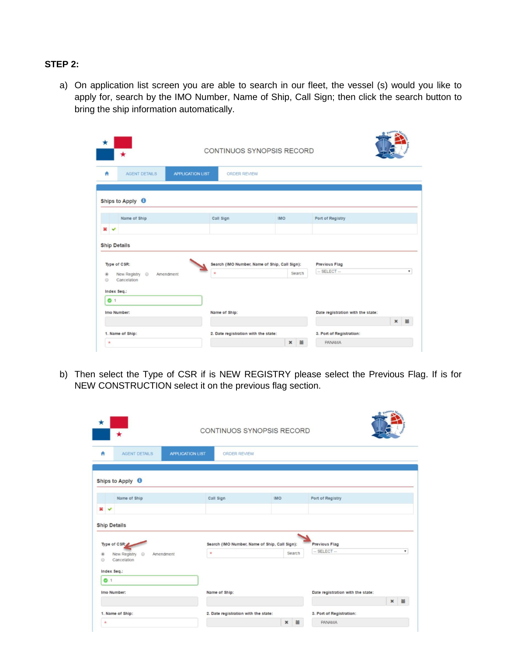# **STEP 2:**

a) On application list screen you are able to search in our fleet, the vessel (s) would you like to apply for, search by the IMO Number, Name of Ship, Call Sign; then click the search button to bring the ship information automatically.

 $\frac{1}{2}$ 

|                                                                                                                    |                                      | CONTINUOS SYNOPSIS RECORD                               |                                                              |
|--------------------------------------------------------------------------------------------------------------------|--------------------------------------|---------------------------------------------------------|--------------------------------------------------------------|
| <b>APPLICATION LIST</b><br><b>AGENT DETAILS</b>                                                                    | <b>ORDER REVIEW</b>                  |                                                         |                                                              |
| Ships to Apply <b>O</b>                                                                                            |                                      |                                                         |                                                              |
| Name of Ship                                                                                                       | Call Sign                            | <b>IMO</b>                                              | Port of Registry                                             |
|                                                                                                                    |                                      |                                                         |                                                              |
|                                                                                                                    |                                      |                                                         |                                                              |
| <b>Ship Details</b><br>Type of CSR:<br>New Registry <sup>©</sup><br>Amendment<br>$\circ$<br>Cancelation<br>$\circ$ | $\frac{1}{2}$                        | Search (IMO Number, Name of Ship, Call Sign):<br>Search | <b>Previous Flag</b><br>$-$ SELECT $-$<br>$\pmb{\mathrm{v}}$ |
| 61                                                                                                                 |                                      |                                                         |                                                              |
| Index Seq.:<br>Imo Number:                                                                                         | Name of Ship:                        |                                                         | Date registration with the state:                            |
| 1. Name of Ship:                                                                                                   | 2. Date registration with the state: |                                                         | ×<br>一篇<br>3. Port of Registration:                          |

b) Then select the Type of CSR if is NEW REGISTRY please select the Previous Flag. If is for NEW CONSTRUCTION select it on the previous flag section.

| $\star$                                                                                |                            |                         | CONTINUOS SYNOPSIS RECORD                     |            |        |                                                        |
|----------------------------------------------------------------------------------------|----------------------------|-------------------------|-----------------------------------------------|------------|--------|--------------------------------------------------------|
| ٨                                                                                      | <b>AGENT DETAILS</b>       | <b>APPLICATION LIST</b> | <b>ORDER REVIEW</b>                           |            |        |                                                        |
| Ships to Apply <sup>6</sup>                                                            |                            |                         |                                               |            |        |                                                        |
|                                                                                        | Name of Ship               |                         | Call Sign                                     | <b>IMO</b> |        | Port of Registry                                       |
|                                                                                        |                            |                         |                                               |            |        |                                                        |
|                                                                                        |                            |                         |                                               |            |        |                                                        |
|                                                                                        |                            |                         | Search (IMO Number, Name of Ship, Call Sign): |            |        | <b>Previous Flag</b>                                   |
| Cancelation                                                                            | New Registry <sup>10</sup> | Amendment               | $\mathcal{H}$                                 |            | Search | $-$ SELECT $-$<br>۰                                    |
| $x \sim$<br><b>Ship Details</b><br>Type of CSR:<br>$\odot$<br>Index Seq.:<br>$\bullet$ |                            |                         |                                               |            |        |                                                        |
| Imo Number:                                                                            |                            |                         | Name of Ship:                                 |            |        | Date registration with the state:                      |
| 1. Name of Ship:                                                                       |                            |                         | 2. Date registration with the state:          |            |        | $\pmb{\times}$<br>$\equiv$<br>3. Port of Registration: |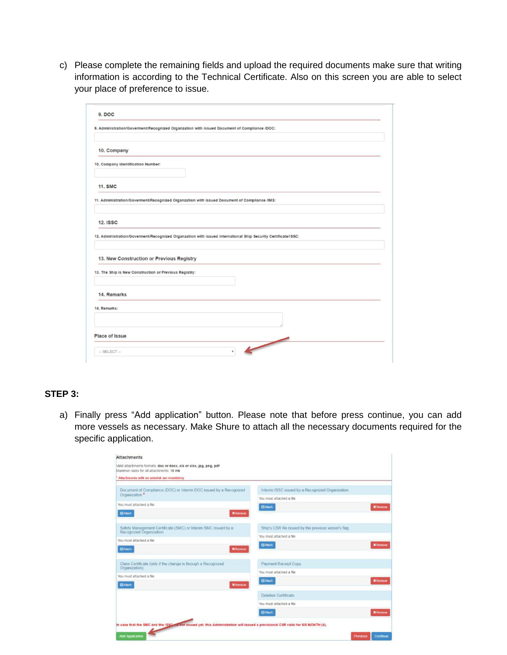c) Please complete the remaining fields and upload the required documents make sure that writing information is according to the Technical Certificate. Also on this screen you are able to select your place of preference to issue.

| 9. DOC                                                 |                                                                                                               |
|--------------------------------------------------------|---------------------------------------------------------------------------------------------------------------|
|                                                        | 9. Administration/Goverment/Recognized Organzation with issued Document of Compliance /DOC:                   |
| 10. Company                                            |                                                                                                               |
| 10. Company Identification Number:                     |                                                                                                               |
| <b>11. SMC</b>                                         |                                                                                                               |
|                                                        | 11. Administration/Goverment/Recognized Organzation with issued Document of Compliance /IMS:                  |
| <b>12. ISSC</b>                                        |                                                                                                               |
|                                                        | 12. Administration/Goverment/Recognized Organzation with issued International Ship Security Certificate/ISSC: |
| 13. New Construction or Previous Registry              |                                                                                                               |
|                                                        |                                                                                                               |
| 13. The Ship is New Construction or Previous Registry: |                                                                                                               |
| 14. Remarks                                            |                                                                                                               |
| 14. Remarks:                                           |                                                                                                               |
|                                                        |                                                                                                               |
| Place of Issue                                         | $\overline{\phantom{0}}$                                                                                      |

### **STEP 3:**

a) Finally press "Add application" button. Please note that before press continue, you can add more vessels as necessary. Make Shure to attach all the necessary documents required for the specific application.

| <b>Attachments</b><br>Malid attachments formats: doc or docx, xls or xlsx, jpg, png, pdf                                         |                                                                              |
|----------------------------------------------------------------------------------------------------------------------------------|------------------------------------------------------------------------------|
| Maximun sizes for all attachments: 10 mb                                                                                         |                                                                              |
| Attachments with an asterisk are mandatory                                                                                       |                                                                              |
| Document of Compliance (DOC) or Interim DOC issued by a Recognized<br>Organization *                                             | Interim ISSC issued by a Recognized Organization<br>You must attached a file |
| You must attached a file                                                                                                         | <b>B'Attach</b><br><b>X</b> Remove                                           |
| <b>G'Atach</b><br><b>X</b> Remove                                                                                                |                                                                              |
| Safety Management Certificate (SMC) or Interim SMC issued by a<br>Recognized Organization                                        | Ship's CSR file issued by the previous vessel's flag                         |
| You must attached a file                                                                                                         | You must attached a file                                                     |
| <b>C</b> Attach<br><b>X</b> Remove                                                                                               | <b>G</b> Atach<br><b>X</b> Remove                                            |
| Class Certificate (only if the change is through a Recognized<br>Organization).                                                  | Payment Receipt Copy.                                                        |
| You must attached a file                                                                                                         | You must attached a file                                                     |
| <b>GAtach</b><br><b>X</b> Remove                                                                                                 | <b>GAtach</b><br><b>X</b> Remove                                             |
|                                                                                                                                  | Deletion Certificate                                                         |
|                                                                                                                                  | You must attached a file                                                     |
|                                                                                                                                  | <b>GAtach</b><br><b>X</b> Remove                                             |
| In case that the SMC and the ISSC are not issued yet, this Administration will issued a provisional CSR valid for SIX MONTH (6). |                                                                              |
| <b>Add Application</b>                                                                                                           | <b>Previous</b><br>Continue                                                  |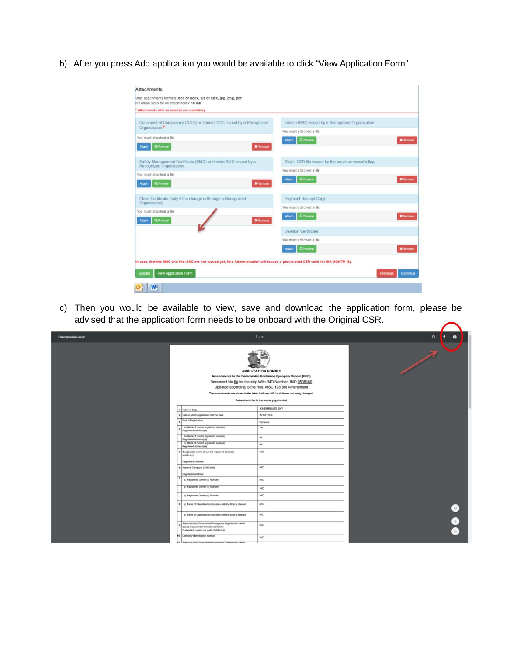b) After you press Add application you would be available to click "View Application Form".

| Maximun sizes for all attachments: 10 mb                                                                                         |                                                      |                             |
|----------------------------------------------------------------------------------------------------------------------------------|------------------------------------------------------|-----------------------------|
| Attachments with an asterisk are mandatory                                                                                       |                                                      |                             |
| Document of Compliance (DOC) or Interim DOC issued by a Recognized<br>Organization *                                             | Interim ISSC issued by a Recognized Organization     |                             |
|                                                                                                                                  | You must attached a file                             |                             |
| You must attached a file                                                                                                         | <b>QPreview</b><br>Attach                            | <b>X</b> Remove             |
| <b>Q</b> Preview<br>Attach<br><b>X</b> Remove                                                                                    |                                                      |                             |
| Safety Management Certificate (SMC) or Interim SMC issued by a<br>Recognized Organization                                        | Ship's CSR file issued by the previous vessel's flag |                             |
| You must attached a file                                                                                                         | You must attached a file                             |                             |
|                                                                                                                                  | <b>QPreview</b><br>Attach                            | <b>X</b> Remove             |
| <b>QPreview</b><br><b>Attach</b><br><b>X</b> Remove                                                                              |                                                      |                             |
| Class Certificate (only if the change is through a Recognized<br>Organization).                                                  | Payment Receipt Copy.                                |                             |
| You must attached a file                                                                                                         | You must attached a file                             |                             |
| <b>QPreview</b><br><b>X</b> Remove<br><b>Attach</b>                                                                              | <b>QPreview</b><br>Attach                            | <b>X</b> Remove             |
|                                                                                                                                  | Deletion Certificate                                 |                             |
|                                                                                                                                  | You must attached a file                             |                             |
|                                                                                                                                  | <b>QPreview</b><br>Attach                            | <b>X</b> Remove             |
|                                                                                                                                  |                                                      |                             |
| In case that the SMC and the ISSC are not issued yet, this Administration will issued a provisional CSR valid for SIX MONTH (6). |                                                      |                             |
| Update<br><b>View Application Form</b>                                                                                           |                                                      | Continue<br><b>Previous</b> |

c) Then you would be available to view, save and download the application form, please be advised that the application form needs to be onboard with the Original CSR.

| FrmImpresion.aspx |                                                                                                                                                | 1/2                                                                                                                                                                                                                                                                                                                                              | $\mathbf{C}$ | $\ddot{\phantom{1}}$ |
|-------------------|------------------------------------------------------------------------------------------------------------------------------------------------|--------------------------------------------------------------------------------------------------------------------------------------------------------------------------------------------------------------------------------------------------------------------------------------------------------------------------------------------------|--------------|----------------------|
|                   |                                                                                                                                                | <b>APPLICATION FORM 2</b><br>Amendments to the Panamanian Continuos Synopsis Record (CSR)<br>Document No.04 for the ship With IMO Number: IMO 9508160<br>Updated according to the Res. MSC.198(80) Amendment<br>The amendments are shown in the table. Indicate N/C for all items not being changed.<br>Dates should be in the format yyyy/mm/dd |              |                      |
|                   | 1 Name of Ship:                                                                                                                                | CHEMROUTE SKY                                                                                                                                                                                                                                                                                                                                    |              |                      |
|                   | 2 Date in which registration with the state                                                                                                    | 2010/11/08                                                                                                                                                                                                                                                                                                                                       |              |                      |
|                   | Port of Registration:                                                                                                                          | Panama                                                                                                                                                                                                                                                                                                                                           |              |                      |
|                   | a) Name of current registered owner(s)<br>(astered addressies)                                                                                 | NG                                                                                                                                                                                                                                                                                                                                               |              |                      |
|                   | b) Name of current registered owner(s)<br>Registered address(es)                                                                               | NC                                                                                                                                                                                                                                                                                                                                               |              |                      |
|                   | c) Name of current registered owner(s)<br>Registered address(es)                                                                               | NC <sup>1</sup>                                                                                                                                                                                                                                                                                                                                  |              |                      |
|                   | 5 If applicable, name of current registered bareboat<br>chatterer(s)<br>Registered Address:                                                    | N/C                                                                                                                                                                                                                                                                                                                                              |              |                      |
|                   | 6 Name of Company (ISM Code):<br>Registered Address:                                                                                           | <b>N/C</b>                                                                                                                                                                                                                                                                                                                                       |              |                      |
|                   | a) Registered Owner (s) Number:                                                                                                                | <b>N/C</b>                                                                                                                                                                                                                                                                                                                                       |              |                      |
|                   | b) Registered Owner (s) Number:                                                                                                                | <b>N/C</b>                                                                                                                                                                                                                                                                                                                                       |              |                      |
|                   | c) Registered Owner (s) Number:                                                                                                                | <b>N/C</b>                                                                                                                                                                                                                                                                                                                                       |              |                      |
|                   | a) Name of Classification Societies with the Ship is classed<br>$\bullet$                                                                      | <b>N/C</b>                                                                                                                                                                                                                                                                                                                                       |              |                      |
|                   | b) Name of Classification Societies with the Ship is classed                                                                                   | NC.                                                                                                                                                                                                                                                                                                                                              |              |                      |
|                   | Administration/Government/Recognized Organization which<br>issued Document of Compliance/IDOC:<br>Body which carried out audit (if different): | <b>NC</b>                                                                                                                                                                                                                                                                                                                                        |              |                      |
|                   | 10 Company identification number                                                                                                               | <b>N/C</b>                                                                                                                                                                                                                                                                                                                                       |              |                      |
|                   | 14 Administration/Communicate/Decoration/ Conseilvation salesh                                                                                 |                                                                                                                                                                                                                                                                                                                                                  |              |                      |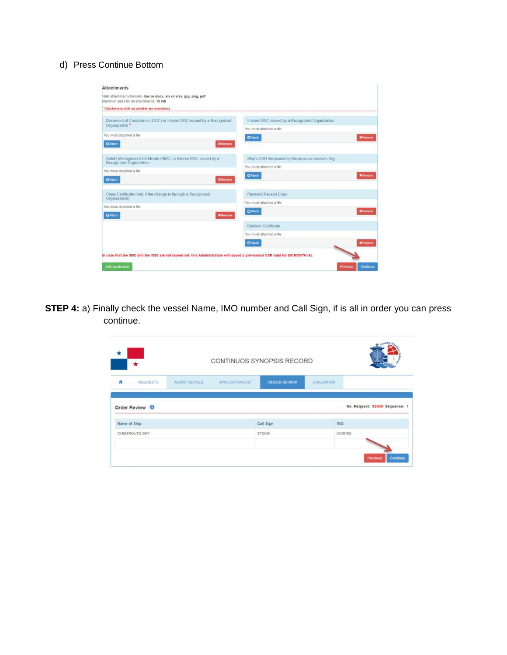## d) Press Continue Bottom

| Maximun sizes for all attachments: 10 mb                                                  |                                                      |                 |  |  |
|-------------------------------------------------------------------------------------------|------------------------------------------------------|-----------------|--|--|
| Attachments with an asterisk are mandatory                                                |                                                      |                 |  |  |
| Document of Compliance (DOC) or Interim DOC issued by a Recognized<br>Organization *      | Interim ISSC issued by a Recognized Organization     |                 |  |  |
|                                                                                           | You must attached a file                             |                 |  |  |
| You must attached a file                                                                  | <b>B'Attach</b>                                      | <b>X</b> Remove |  |  |
| <b>GAtach</b><br><b>X</b> Remove                                                          |                                                      |                 |  |  |
| Safety Management Certificate (SMC) or Interim SMC issued by a<br>Recognized Organization | Ship's CSR file issued by the previous vessel's flag |                 |  |  |
|                                                                                           | You must attached a file                             |                 |  |  |
| You must attached a file                                                                  | <b>GAtach</b>                                        | <b>X</b> Remove |  |  |
| <b>G'Attach</b><br><b>X</b> Remove                                                        |                                                      |                 |  |  |
| Class Certificate (only if the change is through a Recognized<br>Organization).           | Payment Receipt Copy.                                |                 |  |  |
|                                                                                           | You must attached a file                             |                 |  |  |
| You must attached a file<br><b>G</b> Attach<br><b>X</b> Remove                            | <b>GAtach</b>                                        | <b>X</b> Remove |  |  |
|                                                                                           | Deletion Certificate                                 |                 |  |  |
|                                                                                           | You must attached a file                             |                 |  |  |
|                                                                                           | <b>GAtach</b>                                        | <b>X</b> Remove |  |  |

**STEP 4:** a) Finally check the vessel Name, IMO number and Call Sign, if is all in order you can press continue.

| ж            | *                         |                      |                         | CONTINUOS SYNOPSIS RECORD |                   |                                        |
|--------------|---------------------------|----------------------|-------------------------|---------------------------|-------------------|----------------------------------------|
| 青            | <b>REQUESTS</b>           | <b>AGENT DETAILS</b> | <b>APPLICATION LIST</b> | <b>ORDER REVIEW</b>       | <b>EVALUATION</b> |                                        |
|              | Order Review <sup>O</sup> |                      |                         |                           |                   | No. Request: 62405 Sequence: 1         |
| Name of Ship |                           |                      |                         | Call Sign                 | <b>IMO</b>        |                                        |
|              | CHEMROUTE SKY             |                      |                         | 3FDM6                     |                   | 9508160<br>Continue<br><b>Previous</b> |